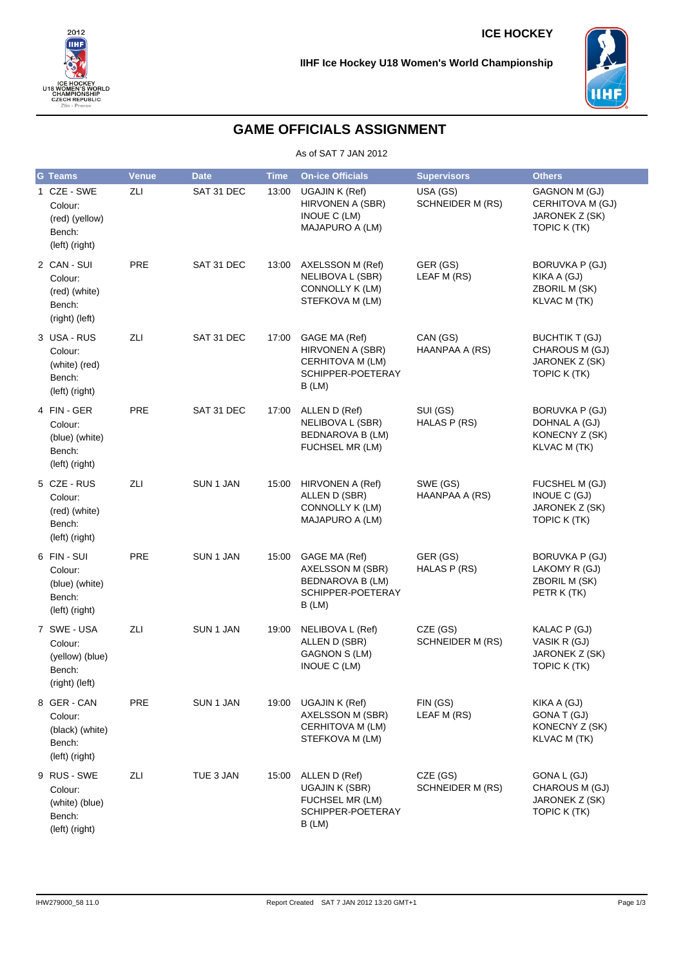



# **GAME OFFICIALS ASSIGNMENT**

As of SAT 7 JAN 2012

| <b>G</b> Teams                                                       | <b>Venue</b> | <b>Date</b> | <b>Time</b> | <b>On-ice Officials</b>                                                                    | <b>Supervisors</b>                  | <b>Others</b>                                                                |
|----------------------------------------------------------------------|--------------|-------------|-------------|--------------------------------------------------------------------------------------------|-------------------------------------|------------------------------------------------------------------------------|
| 1 CZE - SWE<br>Colour:<br>(red) (yellow)<br>Bench:<br>(left) (right) | ZLI          | SAT 31 DEC  | 13:00       | UGAJIN K (Ref)<br>HIRVONEN A (SBR)<br>INOUE C (LM)<br>MAJAPURO A (LM)                      | USA (GS)<br>SCHNEIDER M (RS)        | GAGNON M (GJ)<br>CERHITOVA M (GJ)<br>JARONEK Z (SK)<br>TOPIC K (TK)          |
| 2 CAN - SUI<br>Colour:<br>(red) (white)<br>Bench:<br>(right) (left)  | PRE          | SAT 31 DEC  | 13:00       | AXELSSON M (Ref)<br>NELIBOVA L (SBR)<br>CONNOLLY K (LM)<br>STEFKOVA M (LM)                 | GER (GS)<br>LEAF M (RS)             | <b>BORUVKA P (GJ)</b><br>KIKA A (GJ)<br>ZBORIL M (SK)<br><b>KLVAC M (TK)</b> |
| 3 USA - RUS<br>Colour:<br>(white) (red)<br>Bench:<br>(left) (right)  | ZLI          | SAT 31 DEC  | 17:00       | GAGE MA (Ref)<br>HIRVONEN A (SBR)<br>CERHITOVA M (LM)<br>SCHIPPER-POETERAY<br>B(LM)        | CAN (GS)<br>HAANPAA A (RS)          | <b>BUCHTIK T (GJ)</b><br>CHAROUS M (GJ)<br>JARONEK Z (SK)<br>TOPIC K (TK)    |
| 4 FIN-GER<br>Colour:<br>(blue) (white)<br>Bench:<br>(left) (right)   | <b>PRE</b>   | SAT 31 DEC  | 17:00       | ALLEN D (Ref)<br>NELIBOVA L (SBR)<br><b>BEDNAROVA B (LM)</b><br>FUCHSEL MR (LM)            | SUI (GS)<br>HALAS P (RS)            | BORUVKA P (GJ)<br>DOHNAL A (GJ)<br>KONECNY Z (SK)<br>KLVAC M (TK)            |
| 5 CZE - RUS<br>Colour:<br>(red) (white)<br>Bench:<br>(left) (right)  | ZLI          | SUN 1 JAN   | 15:00       | HIRVONEN A (Ref)<br>ALLEN D (SBR)<br>CONNOLLY K (LM)<br>MAJAPURO A (LM)                    | SWE (GS)<br>HAANPAA A (RS)          | FUCSHEL M (GJ)<br>INOUE C (GJ)<br>JARONEK Z (SK)<br>TOPIC K (TK)             |
| 6 FIN - SUI<br>Colour:<br>(blue) (white)<br>Bench:<br>(left) (right) | PRE          | SUN 1 JAN   | 15:00       | GAGE MA (Ref)<br>AXELSSON M (SBR)<br><b>BEDNAROVA B (LM)</b><br>SCHIPPER-POETERAY<br>B(LM) | GER (GS)<br>HALAS P (RS)            | BORUVKA P (GJ)<br>LAKOMY R (GJ)<br>ZBORIL M (SK)<br>PETR K (TK)              |
| 7 SWE-USA<br>Colour:<br>(yellow) (blue)<br>Bench:<br>(right) (left)  | ZLI          | SUN 1 JAN   | 19:00       | NELIBOVA L (Ref)<br>ALLEN D (SBR)<br>GAGNON S (LM)<br>INOUE C (LM)                         | CZE (GS)<br><b>SCHNEIDER M (RS)</b> | KALAC P (GJ)<br>VASIK R (GJ)<br>JARONEK Z (SK)<br>TOPIC K (TK)               |
| 8 GER-CAN<br>Colour:<br>(black) (white)<br>Bench:<br>(left) (right)  | <b>PRE</b>   | SUN 1 JAN   | 19:00       | UGAJIN K (Ref)<br>AXELSSON M (SBR)<br>CERHITOVA M (LM)<br>STEFKOVA M (LM)                  | FIN (GS)<br>LEAF M (RS)             | KIKA A (GJ)<br>GONA T (GJ)<br>KONECNY Z (SK)<br><b>KLVAC M (TK)</b>          |
| 9 RUS - SWE<br>Colour:<br>(white) (blue)<br>Bench:<br>(left) (right) | ZLI          | TUE 3 JAN   | 15:00       | ALLEN D (Ref)<br>UGAJIN K (SBR)<br>FUCHSEL MR (LM)<br>SCHIPPER-POETERAY<br>B (LM)          | CZE (GS)<br>SCHNEIDER M (RS)        | GONA L (GJ)<br>CHAROUS M (GJ)<br>JARONEK Z (SK)<br>TOPIC K (TK)              |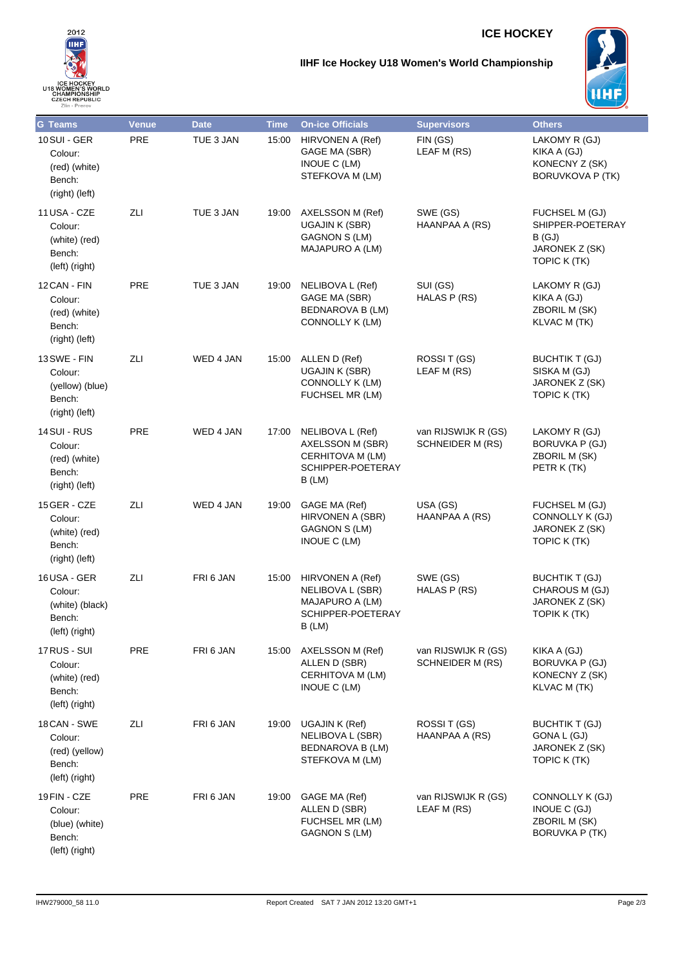## **ICE HOCKEY**



### **IIHF Ice Hockey U18 Women's World Championship**



| <b>G</b> Teams                                                             | <b>Venue</b> | <b>Date</b> | <b>Time</b> | <b>On-ice Officials</b>                                                                | <b>Supervisors</b>                             | <b>Others</b>                                                                 |
|----------------------------------------------------------------------------|--------------|-------------|-------------|----------------------------------------------------------------------------------------|------------------------------------------------|-------------------------------------------------------------------------------|
| <b>10SUI - GER</b><br>Colour:<br>(red) (white)<br>Bench:<br>(right) (left) | <b>PRE</b>   | TUE 3 JAN   | 15:00       | HIRVONEN A (Ref)<br>GAGE MA (SBR)<br>INOUE C (LM)<br>STEFKOVA M (LM)                   | FIN (GS)<br>LEAF M (RS)                        | LAKOMY R (GJ)<br>KIKA A (GJ)<br>KONECNY Z (SK)<br><b>BORUVKOVA P (TK)</b>     |
| 11 USA - CZE<br>Colour:<br>(white) (red)<br>Bench:<br>(left) (right)       | ZLI          | TUE 3 JAN   | 19:00       | AXELSSON M (Ref)<br><b>UGAJIN K (SBR)</b><br><b>GAGNON S (LM)</b><br>MAJAPURO A (LM)   | SWE (GS)<br>HAANPAA A (RS)                     | FUCHSEL M (GJ)<br>SHIPPER-POETERAY<br>B(GJ)<br>JARONEK Z (SK)<br>TOPIC K (TK) |
| 12 CAN - FIN<br>Colour:<br>(red) (white)<br>Bench:<br>(right) (left)       | <b>PRE</b>   | TUE 3 JAN   | 19:00       | NELIBOVA L (Ref)<br>GAGE MA (SBR)<br><b>BEDNAROVA B (LM)</b><br>CONNOLLY K (LM)        | SUI (GS)<br>HALAS P (RS)                       | LAKOMY R (GJ)<br>KIKA A (GJ)<br>ZBORIL M (SK)<br>KLVAC M (TK)                 |
| 13 SWE - FIN<br>Colour:<br>(yellow) (blue)<br>Bench:<br>(right) (left)     | ZLI          | WED 4 JAN   | 15:00       | ALLEN D (Ref)<br>UGAJIN K (SBR)<br>CONNOLLY K (LM)<br>FUCHSEL MR (LM)                  | ROSSIT (GS)<br>LEAF M (RS)                     | <b>BUCHTIK T (GJ)</b><br>SISKA M (GJ)<br>JARONEK Z (SK)<br>TOPIC K (TK)       |
| 14 SUI - RUS<br>Colour:<br>(red) (white)<br>Bench:<br>(right) (left)       | PRE          | WED 4 JAN   | 17:00       | NELIBOVA L (Ref)<br>AXELSSON M (SBR)<br>CERHITOVA M (LM)<br>SCHIPPER-POETERAY<br>B(LM) | van RIJSWIJK R (GS)<br><b>SCHNEIDER M (RS)</b> | LAKOMY R (GJ)<br>BORUVKA P (GJ)<br>ZBORIL M (SK)<br>PETR K (TK)               |
| 15 GER - CZE<br>Colour:<br>(white) (red)<br>Bench:<br>(right) (left)       | ZLI          | WED 4 JAN   | 19:00       | GAGE MA (Ref)<br>HIRVONEN A (SBR)<br>GAGNON S (LM)<br>INOUE C (LM)                     | USA (GS)<br>HAANPAA A (RS)                     | FUCHSEL M (GJ)<br>CONNOLLY K (GJ)<br>JARONEK Z (SK)<br>TOPIC K (TK)           |
| 16USA - GER<br>Colour:<br>(white) (black)<br>Bench:<br>(left) (right)      | ZLI          | FRI 6 JAN   | 15:00       | HIRVONEN A (Ref)<br>NELIBOVA L (SBR)<br>MAJAPURO A (LM)<br>SCHIPPER-POETERAY<br>B (LM) | SWE (GS)<br>HALAS P (RS)                       | <b>BUCHTIK T (GJ)</b><br>CHAROUS M (GJ)<br>JARONEK Z (SK)<br>TOPIK K (TK)     |
| 17 RUS - SUI<br>Colour:<br>(white) (red)<br>Bench:<br>(left) (right)       | PRE          | FRI 6 JAN   | 15:00       | AXELSSON M (Ref)<br>ALLEN D (SBR)<br>CERHITOVA M (LM)<br>INOUE C (LM)                  | van RIJSWIJK R (GS)<br><b>SCHNEIDER M (RS)</b> | KIKA A (GJ)<br>BORUVKA P (GJ)<br>KONECNY Z (SK)<br>KLVAC M (TK)               |
| 18 CAN - SWE<br>Colour:<br>(red) (yellow)<br>Bench:<br>(left) (right)      | ZLI          | FRI 6 JAN   | 19:00       | <b>UGAJIN K (Ref)</b><br>NELIBOVA L (SBR)<br>BEDNAROVA B (LM)<br>STEFKOVA M (LM)       | ROSSIT (GS)<br>HAANPAA A (RS)                  | <b>BUCHTIK T (GJ)</b><br>GONA L (GJ)<br>JARONEK Z (SK)<br>TOPIC K (TK)        |
| 19 FIN - CZE<br>Colour:<br>(blue) (white)<br>Bench:<br>(left) (right)      | <b>PRE</b>   | FRI 6 JAN   | 19:00       | GAGE MA (Ref)<br>ALLEN D (SBR)<br>FUCHSEL MR (LM)<br>GAGNON S (LM)                     | van RIJSWIJK R (GS)<br>LEAF M (RS)             | CONNOLLY K (GJ)<br>INOUE C (GJ)<br>ZBORIL M (SK)<br><b>BORUVKA P (TK)</b>     |